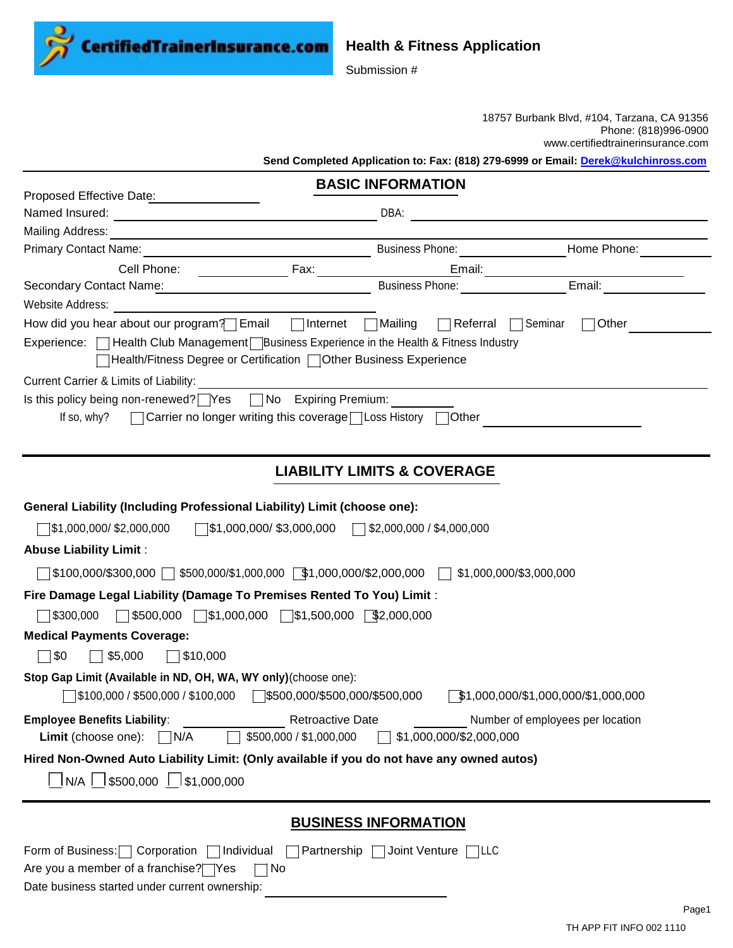**CertifiedTrainerInsurance.com** 

## **Health & Fitness Application**

Submission #

18757 Burbank Blvd, #104, Tarzana, CA 91356 Phone: (818)996-0900 www.certifiedtrainerinsurance.com

**Send Completed Application to: Fax: (818) 279-6999 or Email: [Derek@kulchinross.com](mailto:Derek@kulchinross.com)**

|                                                                                                                                                                  | <b>BASIC INFORMATION</b>                                        |                                  |  |  |
|------------------------------------------------------------------------------------------------------------------------------------------------------------------|-----------------------------------------------------------------|----------------------------------|--|--|
| Proposed Effective Date: 2001                                                                                                                                    |                                                                 |                                  |  |  |
|                                                                                                                                                                  |                                                                 |                                  |  |  |
|                                                                                                                                                                  |                                                                 |                                  |  |  |
| Primary Contact Name: 1997                                                                                                                                       | Business Phone: Manual Mome Phone: Manual Mome Phone:           |                                  |  |  |
|                                                                                                                                                                  | Email:<br>Business Phone: ___________________________Email: ___ |                                  |  |  |
|                                                                                                                                                                  |                                                                 |                                  |  |  |
| Website Address: Management Contract of Technology and Technology and Technology and Technology and Technology                                                   |                                                                 |                                  |  |  |
| How did you hear about our program? Email   Internet   Mailing   Referral   Seminar                                                                              |                                                                 | $\Box$ Other                     |  |  |
| Experience: □ Health Club Management Dusiness Experience in the Health & Fitness Industry<br>THealth/Fitness Degree or Certification □ Other Business Experience |                                                                 |                                  |  |  |
|                                                                                                                                                                  |                                                                 |                                  |  |  |
| Current Carrier & Limits of Liability:                                                                                                                           |                                                                 |                                  |  |  |
| Is this policy being non-renewed? Yes Mo Expiring Premium:<br>□ Carrier no longer writing this coverage Loss History □ Other<br>If so, why?                      |                                                                 |                                  |  |  |
|                                                                                                                                                                  |                                                                 |                                  |  |  |
|                                                                                                                                                                  |                                                                 |                                  |  |  |
|                                                                                                                                                                  | <b>LIABILITY LIMITS &amp; COVERAGE</b>                          |                                  |  |  |
|                                                                                                                                                                  |                                                                 |                                  |  |  |
| General Liability (Including Professional Liability) Limit (choose one):                                                                                         |                                                                 |                                  |  |  |
| $\sqrt{\$1,000,000/\$3,000,000}$ $\sqrt{\$2,000,000/\$4,000,000}$<br>$\sqrt{\$1,000,000/\$2,000,000}$                                                            |                                                                 |                                  |  |  |
| <b>Abuse Liability Limit:</b>                                                                                                                                    |                                                                 |                                  |  |  |
|                                                                                                                                                                  |                                                                 |                                  |  |  |
|                                                                                                                                                                  |                                                                 |                                  |  |  |
| Fire Damage Legal Liability (Damage To Premises Rented To You) Limit:                                                                                            |                                                                 |                                  |  |  |
| $\Box$ \$500,000 $\Box$ \$1,000,000 $\Box$ \$1,500,000 $\Box$ \$2,000,000<br> \$300,000                                                                          |                                                                 |                                  |  |  |
| <b>Medical Payments Coverage:</b>                                                                                                                                |                                                                 |                                  |  |  |
| $\Box$ \$0<br>\$5,000<br>$\Box$ \$10,000<br>$\mathbf{1}$                                                                                                         |                                                                 |                                  |  |  |
| Stop Gap Limit (Available in ND, OH, WA, WY only)(choose one):                                                                                                   |                                                                 |                                  |  |  |
|                                                                                                                                                                  | $\sqrt{$1,000,000}{$1,000,000}{$1,000,000}$$                    |                                  |  |  |
| <b>Employee Benefits Liability:</b><br><b>Retroactive Date</b>                                                                                                   |                                                                 | Number of employees per location |  |  |
| \$500,000 / \$1,000,000<br>\$1,000,000/\$2,000,000<br>Limit (choose one):<br>$\vert$ $\vert$ N/A                                                                 |                                                                 |                                  |  |  |
| Hired Non-Owned Auto Liability Limit: (Only available if you do not have any owned autos)                                                                        |                                                                 |                                  |  |  |
| N/A   \$500,000   \$1,000,000                                                                                                                                    |                                                                 |                                  |  |  |
|                                                                                                                                                                  |                                                                 |                                  |  |  |
|                                                                                                                                                                  | <b>BUSINESS INFORMATION</b>                                     |                                  |  |  |
| Form of Business:   Corporation   Individual   Partnership   Joint Venture   LLC                                                                                 |                                                                 |                                  |  |  |
| Are you a member of a franchise? Yes<br>$\sqcap$ No                                                                                                              |                                                                 |                                  |  |  |

Date business started under current ownership: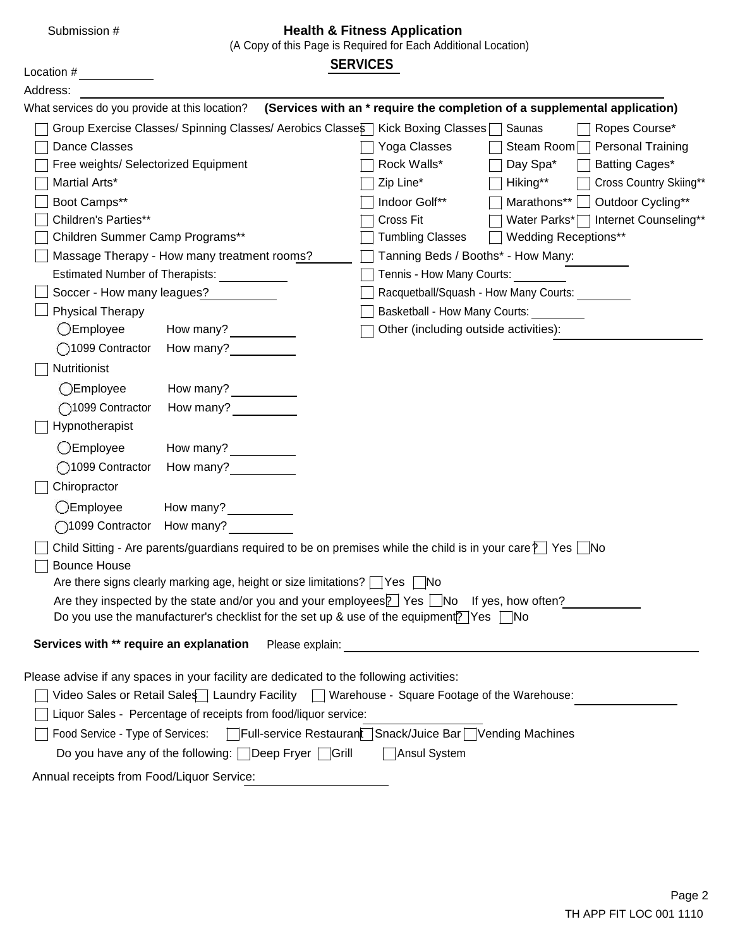| Submission #                                                                                                                                 |                                                                                          |                 | <b>Health &amp; Fitness Application</b><br>(A Copy of this Page is Required for Each Additional Location) |             |                                                                           |
|----------------------------------------------------------------------------------------------------------------------------------------------|------------------------------------------------------------------------------------------|-----------------|-----------------------------------------------------------------------------------------------------------|-------------|---------------------------------------------------------------------------|
| Location #                                                                                                                                   |                                                                                          | <b>SERVICES</b> |                                                                                                           |             |                                                                           |
| Address:                                                                                                                                     |                                                                                          |                 |                                                                                                           |             |                                                                           |
| What services do you provide at this location?                                                                                               |                                                                                          |                 |                                                                                                           |             | (Services with an * require the completion of a supplemental application) |
| Group Exercise Classes/ Spinning Classes/ Aerobics Classes   Kick Boxing Classes   Saunas                                                    |                                                                                          |                 |                                                                                                           |             | Ropes Course*                                                             |
| Dance Classes                                                                                                                                |                                                                                          |                 | Yoga Classes                                                                                              | Steam Room  | <b>Personal Training</b>                                                  |
| Free weights/ Selectorized Equipment                                                                                                         |                                                                                          |                 | Rock Walls*                                                                                               | Day Spa*    | Batting Cages*                                                            |
| Martial Arts*                                                                                                                                |                                                                                          |                 | Zip Line*                                                                                                 | Hiking**    | Cross Country Skiing**                                                    |
| Boot Camps**                                                                                                                                 |                                                                                          |                 | Indoor Golf**                                                                                             | Marathons** | Outdoor Cycling**                                                         |
| Children's Parties**                                                                                                                         |                                                                                          |                 | Cross Fit                                                                                                 |             | Water Parks*   Internet Counseling**                                      |
| Children Summer Camp Programs**                                                                                                              |                                                                                          |                 | <b>Tumbling Classes</b>                                                                                   |             | <b>Wedding Receptions**</b>                                               |
| Massage Therapy - How many treatment rooms?                                                                                                  |                                                                                          |                 | Tanning Beds / Booths* - How Many:                                                                        |             |                                                                           |
| <b>Estimated Number of Therapists:</b>                                                                                                       |                                                                                          |                 | Tennis - How Many Courts:                                                                                 |             |                                                                           |
| Soccer - How many leagues?                                                                                                                   |                                                                                          |                 | Racquetball/Squash - How Many Courts:                                                                     |             |                                                                           |
| <b>Physical Therapy</b>                                                                                                                      |                                                                                          |                 | Basketball - How Many Courts:                                                                             |             |                                                                           |
| $\bigcirc$ Employee                                                                                                                          | How many?                                                                                |                 | Other (including outside activities):                                                                     |             |                                                                           |
| ◯1099 Contractor                                                                                                                             | How many?                                                                                |                 |                                                                                                           |             |                                                                           |
| Nutritionist                                                                                                                                 |                                                                                          |                 |                                                                                                           |             |                                                                           |
| $O$ Employee                                                                                                                                 | How many?                                                                                |                 |                                                                                                           |             |                                                                           |
| ◯1099 Contractor                                                                                                                             | How many?                                                                                |                 |                                                                                                           |             |                                                                           |
| Hypnotherapist                                                                                                                               |                                                                                          |                 |                                                                                                           |             |                                                                           |
| $O$ Employee                                                                                                                                 | How many? $\frac{1}{\sqrt{1-\frac{1}{2}}\sqrt{1-\frac{1}{2}}\left(1-\frac{1}{2}\right)}$ |                 |                                                                                                           |             |                                                                           |
| ◯1099 Contractor                                                                                                                             | How many?                                                                                |                 |                                                                                                           |             |                                                                           |
| Chiropractor                                                                                                                                 |                                                                                          |                 |                                                                                                           |             |                                                                           |
| <b>OEmployee</b>                                                                                                                             | How many?                                                                                |                 |                                                                                                           |             |                                                                           |
| ◯1099 Contractor How many?                                                                                                                   |                                                                                          |                 |                                                                                                           |             |                                                                           |
| Child Sitting - Are parents/guardians required to be on premises while the child is in your care $\sum$ Yes $\sum$ No<br><b>Bounce House</b> |                                                                                          |                 |                                                                                                           |             |                                                                           |

| _______________                                                                                                                     |
|-------------------------------------------------------------------------------------------------------------------------------------|
| Are there signs clearly marking age, height or size limitations? $\Box$ Yes $\Box$ No                                               |
| Are they inspected by the state and/or you and your employees $\boxed{\phantom{1}}$ Yes $\boxed{\phantom{1}}$ No If yes, how often? |
| Do you use the manufacturer's checklist for the set up & use of the equipment? Yes $\Box$ No                                        |

Please advise if any spaces in your facility are dedicated to the following activities:

**Services with \*\* require an explanation** Please explain:

| Video Sales or Retail Sales   Laundry Facility   Warehouse - Square Footage of the Warehouse: |  |
|-----------------------------------------------------------------------------------------------|--|
| Liquor Sales - Percentage of receipts from food/liquor service:                               |  |
| Food Service - Type of Services: Figul-service Restaurant Snack/Juice Bar Vending Machines    |  |
| Do you have any of the following: $\Box$ Deep Fryer $\Box$ Grill<br>Ansul System              |  |
| Annual receipts from Food/Liquor Service:                                                     |  |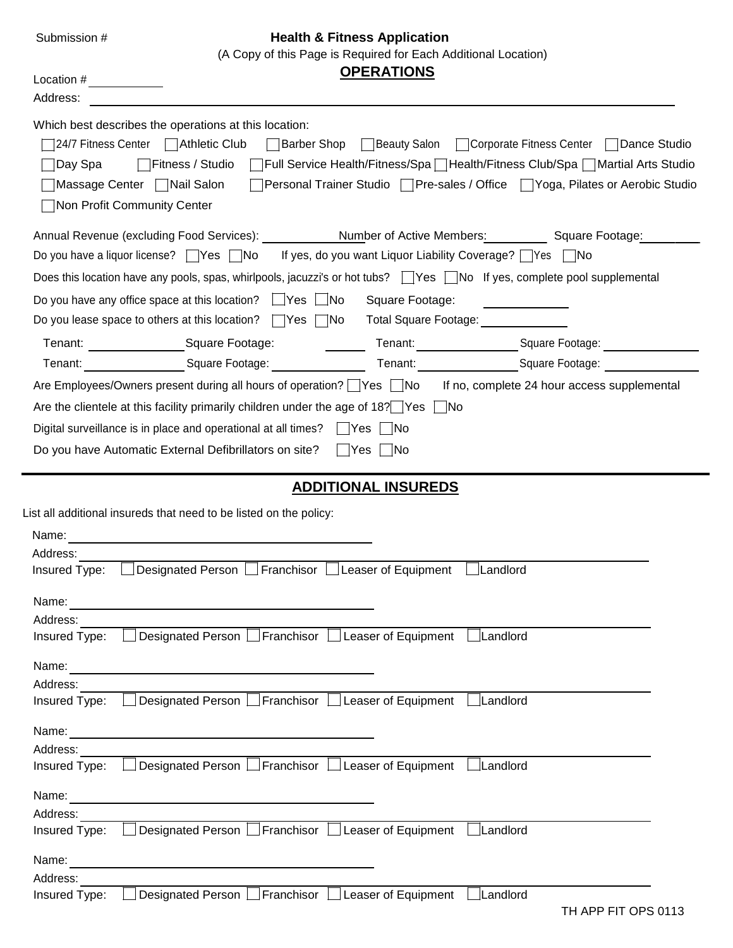#### Submission # **Health & Fitness Application**

(A Copy of this Page is Required for Each Additional Location)

Location # *OPERATIONS* 

| Address:                                                                                                                                                                                                                                                                                                                                                                                                                                                          |
|-------------------------------------------------------------------------------------------------------------------------------------------------------------------------------------------------------------------------------------------------------------------------------------------------------------------------------------------------------------------------------------------------------------------------------------------------------------------|
| Which best describes the operations at this location:<br>24/7 Fitness Center   Athletic Club<br>□ Beauty Salon<br>□ Corporate Fitness Center □ Dance Studio<br>Barber Shop<br><b>Contract</b><br> Full Service Health/Fitness/Spa ∏ Health/Fitness Club/Spa □ Martial Arts Studio<br>∏Fitness / Studio<br>Day Spa<br>Personal Trainer Studio   Pre-sales / Office   Yoga, Pilates or Aerobic Studio<br>Massage Center   Nail Salon<br>Non Profit Community Center |
| Annual Revenue (excluding Food Services): Number of Active Members:<br>Square Footage:<br>If yes, do you want Liquor Liability Coverage? $\Box$ Yes $\Box$ No<br>Do you have a liquor license? $\Box$ Yes $\Box$ No                                                                                                                                                                                                                                               |
| Does this location have any pools, spas, whirlpools, jacuzzi's or hot tubs?   Yes   No If yes, complete pool supplemental                                                                                                                                                                                                                                                                                                                                         |
| Do you have any office space at this location? $\Box$ Yes $\Box$ No<br>Square Footage:<br>Do you lease space to others at this location? $\Box$ Yes $\Box$ No<br>Total Square Footage:                                                                                                                                                                                                                                                                            |
| Square Footage:<br>Tenant: Square Footage:<br>Tenant:                                                                                                                                                                                                                                                                                                                                                                                                             |
| Tenant: Square Footage: Square 2018<br>Tenant: Square Footage:                                                                                                                                                                                                                                                                                                                                                                                                    |
| Are Employees/Owners present during all hours of operation? Yes No If no, complete 24 hour access supplemental                                                                                                                                                                                                                                                                                                                                                    |
| Are the clientele at this facility primarily children under the age of 18? Pes No                                                                                                                                                                                                                                                                                                                                                                                 |
| Digital surveillance is in place and operational at all times? $\Box$ Yes<br>∣ INo                                                                                                                                                                                                                                                                                                                                                                                |
| Do you have Automatic External Defibrillators on site?<br>∣  Yes    No                                                                                                                                                                                                                                                                                                                                                                                            |
| <b>ADDITIONAL INSUREDS</b>                                                                                                                                                                                                                                                                                                                                                                                                                                        |
| List all additional insureds that need to be listed on the policy:                                                                                                                                                                                                                                                                                                                                                                                                |
| Name:                                                                                                                                                                                                                                                                                                                                                                                                                                                             |
| Address:                                                                                                                                                                                                                                                                                                                                                                                                                                                          |
| Designated Person Franchisor Leaser of Equipment<br>Landlord<br>Insured Type:                                                                                                                                                                                                                                                                                                                                                                                     |
| Name:                                                                                                                                                                                                                                                                                                                                                                                                                                                             |
| Address:                                                                                                                                                                                                                                                                                                                                                                                                                                                          |
| Designated Person Franchisor Leaser of Equipment Landlord<br>Insured Type:                                                                                                                                                                                                                                                                                                                                                                                        |
|                                                                                                                                                                                                                                                                                                                                                                                                                                                                   |
| Address:                                                                                                                                                                                                                                                                                                                                                                                                                                                          |
| Designated Person Franchisor Leaser of Equipment<br>Landlord<br>Insured Type:                                                                                                                                                                                                                                                                                                                                                                                     |
| Name:                                                                                                                                                                                                                                                                                                                                                                                                                                                             |
| Address:                                                                                                                                                                                                                                                                                                                                                                                                                                                          |
| Designated Person □ Franchisor □ Leaser of Equipment  <br>$\Box$ Landlord<br>Insured Type:                                                                                                                                                                                                                                                                                                                                                                        |
| Name:                                                                                                                                                                                                                                                                                                                                                                                                                                                             |
| Address:                                                                                                                                                                                                                                                                                                                                                                                                                                                          |
| Designated Person Franchisor Leaser of Equipment<br>Landlord<br>Insured Type:                                                                                                                                                                                                                                                                                                                                                                                     |
| Name:                                                                                                                                                                                                                                                                                                                                                                                                                                                             |
| Address:                                                                                                                                                                                                                                                                                                                                                                                                                                                          |
| Designated Person Franchisor Leaser of Equipment<br>Landlord<br>Insured Type:<br>TH APP FIT OPS 0113                                                                                                                                                                                                                                                                                                                                                              |
|                                                                                                                                                                                                                                                                                                                                                                                                                                                                   |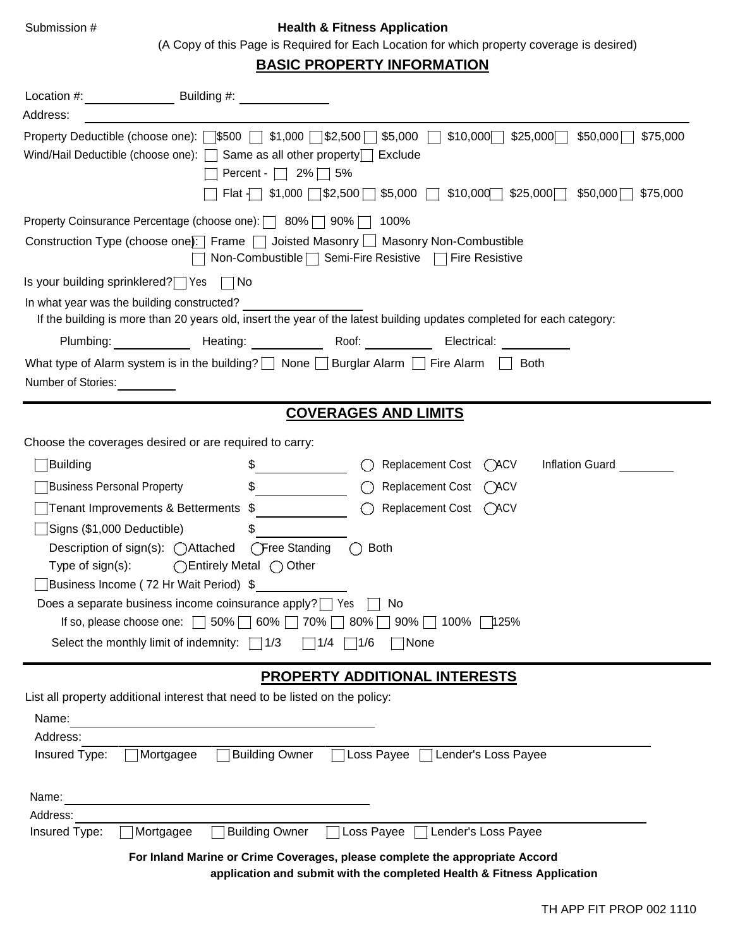### Submission # **Health & Fitness Application**

(A Copy of this Page is Required for Each Location for which property coverage is desired)

# **BASIC PROPERTY INFORMATION**

| Address:                          | Property Deductible (choose one): $\Box$ \$500 $\Box$ \$1,000 $\Box$ \$2,500 $\Box$ \$5,000 $\Box$<br>$$10,000$ $$25,000$<br>\$75,000<br>\$50,000<br>Wind/Hail Deductible (choose one): $\Box$ Same as all other property $\Box$ Exclude<br>Percent - $\Box$ 2% $\Box$ 5%<br>Flat $\Box$ \$1,000 $\Box$ \$2,500 $\Box$ \$5,000 $\Box$ \$10,000 $\Box$ \$25,000 $\Box$<br>\$50,000<br>\$75,000 |
|-----------------------------------|-----------------------------------------------------------------------------------------------------------------------------------------------------------------------------------------------------------------------------------------------------------------------------------------------------------------------------------------------------------------------------------------------|
|                                   | Property Coinsurance Percentage (choose one):   80%   90%   100%                                                                                                                                                                                                                                                                                                                              |
|                                   | Construction Type (choose one): Frame   Joisted Masonry   Masonry Non-Combustible<br>Non-Combustible Semi-Fire Resistive Fire Resistive                                                                                                                                                                                                                                                       |
|                                   | Is your building sprinklered? Yes No                                                                                                                                                                                                                                                                                                                                                          |
|                                   | In what year was the building constructed?<br>If the building is more than 20 years old, insert the year of the latest building updates completed for each category:                                                                                                                                                                                                                          |
|                                   | Plumbing: Heating: Roof: Roof:<br>Electrical:                                                                                                                                                                                                                                                                                                                                                 |
| Number of Stories:                | What type of Alarm system is in the building? $\Box$ None $\Box$ Burglar Alarm $\Box$ Fire Alarm $\Box$<br><b>Both</b>                                                                                                                                                                                                                                                                        |
|                                   | <b>COVERAGES AND LIMITS</b>                                                                                                                                                                                                                                                                                                                                                                   |
|                                   | Choose the coverages desired or are required to carry:                                                                                                                                                                                                                                                                                                                                        |
| Building                          | Replacement Cost (ACV<br>Inflation Guard                                                                                                                                                                                                                                                                                                                                                      |
| <b>Business Personal Property</b> | $\frac{1}{2}$<br><b>Replacement Cost</b><br>OACV                                                                                                                                                                                                                                                                                                                                              |
|                                   | Replacement Cost (ACV<br>Tenant Improvements & Betterments \$<br>$\left( \right)$                                                                                                                                                                                                                                                                                                             |
| Signs (\$1,000 Deductible)        | \$                                                                                                                                                                                                                                                                                                                                                                                            |
|                                   | Description of sign(s): ( Attached ( Free Standing<br>$\bigcap$ Both                                                                                                                                                                                                                                                                                                                          |
| Type of $sign(s)$ :               | ◯Entirely Metal ◯ Other                                                                                                                                                                                                                                                                                                                                                                       |
|                                   | Business Income (72 Hr Wait Period) \$                                                                                                                                                                                                                                                                                                                                                        |
|                                   | Does a separate business income coinsurance apply? Yes<br>No                                                                                                                                                                                                                                                                                                                                  |
|                                   | If so, please choose one: □ 50% □ 60% □ 70% □ 80% □ 90% □ 100% □ 125%                                                                                                                                                                                                                                                                                                                         |
|                                   | Select the monthly limit of indemnity: $\Box$ 1/3<br>$\Box$ 1/4 $\Box$ 1/6<br>None                                                                                                                                                                                                                                                                                                            |
|                                   | <b>PROPERTY ADDITIONAL INTERESTS</b>                                                                                                                                                                                                                                                                                                                                                          |
|                                   | List all property additional interest that need to be listed on the policy:                                                                                                                                                                                                                                                                                                                   |
| Name:                             |                                                                                                                                                                                                                                                                                                                                                                                               |
| Address:                          |                                                                                                                                                                                                                                                                                                                                                                                               |
| Insured Type:                     | <b>Building Owner</b><br>Loss Payee  <br>Lender's Loss Payee<br>Mortgagee                                                                                                                                                                                                                                                                                                                     |
| Name:                             |                                                                                                                                                                                                                                                                                                                                                                                               |
| Address:                          |                                                                                                                                                                                                                                                                                                                                                                                               |
| Insured Type:                     | <b>Building Owner</b><br>Loss Payee<br>Mortgagee<br>Lender's Loss Payee                                                                                                                                                                                                                                                                                                                       |
|                                   | For Inland Marine or Crime Coverages, please complete the appropriate Accord<br>application and submit with the completed Health & Fitness Application                                                                                                                                                                                                                                        |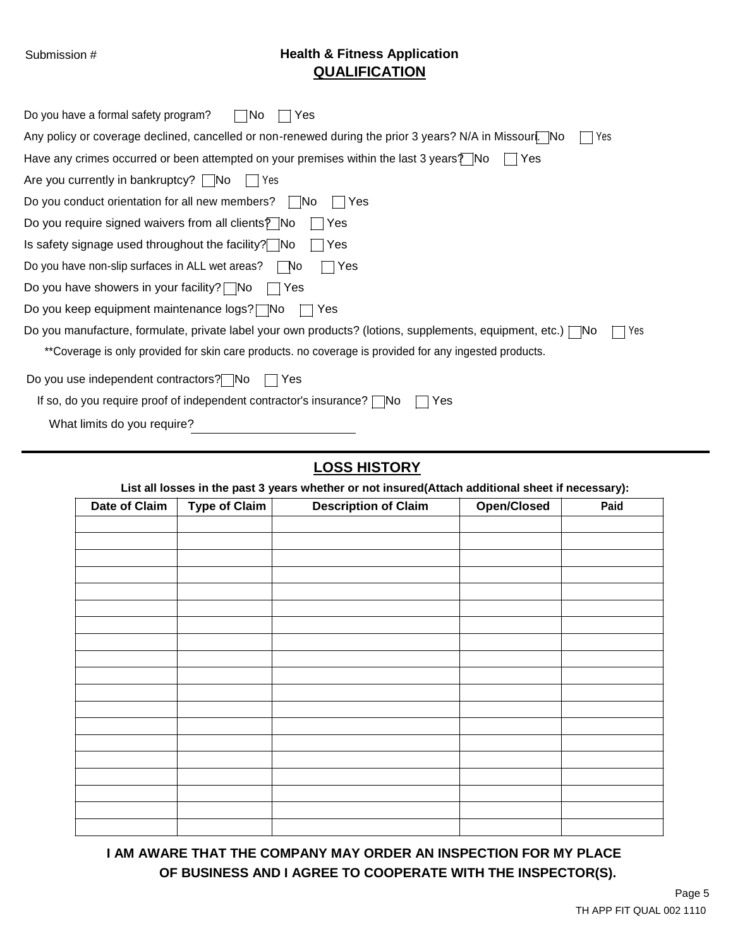# Submission # **Health & Fitness Application QUALIFICATION**

| $\neg$ No<br>Do you have a formal safety program?<br>Yes                                                                 |
|--------------------------------------------------------------------------------------------------------------------------|
| Any policy or coverage declined, cancelled or non-renewed during the prior 3 years? N/A in Missourl.   No<br>Yes         |
| Have any crimes occurred or been attempted on your premises within the last 3 years? No<br>Yes                           |
| Are you currently in bankruptcy?   No<br>IIYes                                                                           |
| Do you conduct orientation for all new members?<br>∣ INo<br>Yes                                                          |
| Do you require signed waivers from all clients $\sqrt{P}$ No<br>Yes                                                      |
| Is safety signage used throughout the facility? No<br>∣Yes                                                               |
| Do you have non-slip surfaces in ALL wet areas?<br>∣ No<br>Yes                                                           |
| Do you have showers in your facility? $\Box$ No<br>l lYes                                                                |
| Do you keep equipment maintenance logs? No<br>Yes                                                                        |
| Do you manufacture, formulate, private label your own products? (lotions, supplements, equipment, etc.) $\Box$ No<br>Yes |
| **Coverage is only provided for skin care products. no coverage is provided for any ingested products.                   |
| Do you use independent contractors? No<br>Yes                                                                            |
| If so, do you require proof of independent contractor's insurance? $\Box$ No<br>Yes                                      |
| What limits do you require?                                                                                              |

# **LOSS HISTORY**

**List all losses in the past 3 years whether or not insured(Attach additional sheet if necessary):**

| <b>Date of Claim</b> | <b>Type of Claim</b> | <b>Description of Claim</b> | Open/Closed | Paid |
|----------------------|----------------------|-----------------------------|-------------|------|
|                      |                      |                             |             |      |
|                      |                      |                             |             |      |
|                      |                      |                             |             |      |
|                      |                      |                             |             |      |
|                      |                      |                             |             |      |
|                      |                      |                             |             |      |
|                      |                      |                             |             |      |
|                      |                      |                             |             |      |
|                      |                      |                             |             |      |
|                      |                      |                             |             |      |
|                      |                      |                             |             |      |
|                      |                      |                             |             |      |
|                      |                      |                             |             |      |
|                      |                      |                             |             |      |
|                      |                      |                             |             |      |
|                      |                      |                             |             |      |
|                      |                      |                             |             |      |
|                      |                      |                             |             |      |
|                      |                      |                             |             |      |

# **I AM AWARE THAT THE COMPANY MAY ORDER AN INSPECTION FOR MY PLACE OF BUSINESS AND I AGREE TO COOPERATE WITH THE INSPECTOR(S).**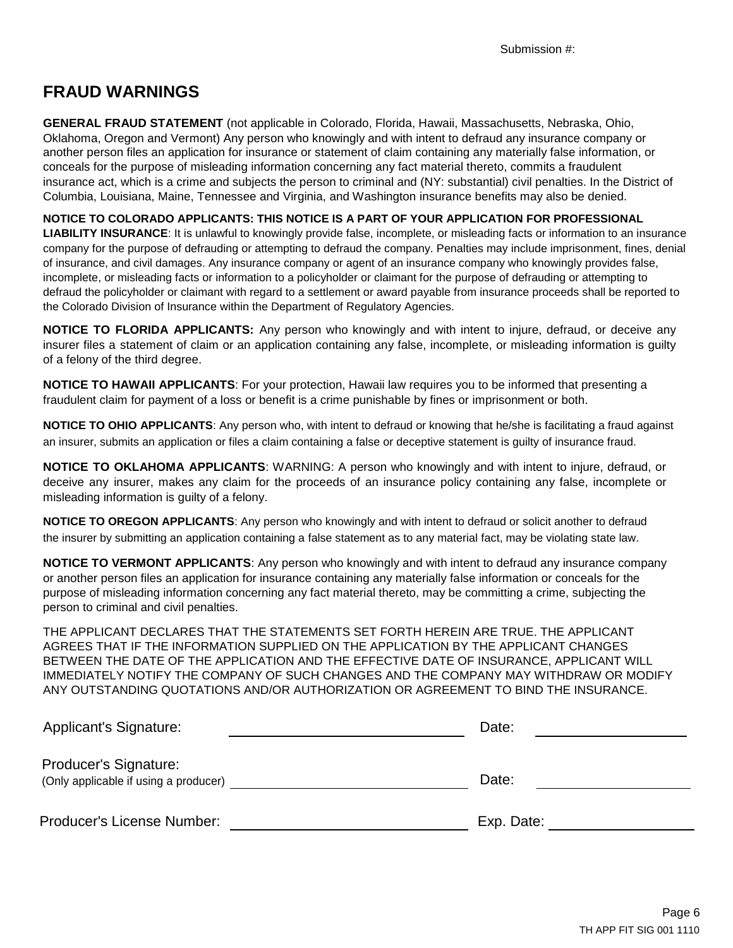# **FRAUD WARNINGS**

**GENERAL FRAUD STATEMENT** (not applicable in Colorado, Florida, Hawaii, Massachusetts, Nebraska, Ohio, Oklahoma, Oregon and Vermont) Any person who knowingly and with intent to defraud any insurance company or another person files an application for insurance or statement of claim containing any materially false information, or conceals for the purpose of misleading information concerning any fact material thereto, commits a fraudulent insurance act, which is a crime and subjects the person to criminal and (NY: substantial) civil penalties. In the District of Columbia, Louisiana, Maine, Tennessee and Virginia, and Washington insurance benefits may also be denied.

**NOTICE TO COLORADO APPLICANTS: THIS NOTICE IS A PART OF YOUR APPLICATION FOR PROFESSIONAL LIABILITY INSURANCE**: It is unlawful to knowingly provide false, incomplete, or misleading facts or information to an insurance company for the purpose of defrauding or attempting to defraud the company. Penalties may include imprisonment, fines, denial of insurance, and civil damages. Any insurance company or agent of an insurance company who knowingly provides false, incomplete, or misleading facts or information to a policyholder or claimant for the purpose of defrauding or attempting to defraud the policyholder or claimant with regard to a settlement or award payable from insurance proceeds shall be reported to the Colorado Division of Insurance within the Department of Regulatory Agencies.

**NOTICE TO FLORIDA APPLICANTS:** Any person who knowingly and with intent to injure, defraud, or deceive any insurer files a statement of claim or an application containing any false, incomplete, or misleading information is guilty of a felony of the third degree.

**NOTICE TO HAWAII APPLICANTS**: For your protection, Hawaii law requires you to be informed that presenting a fraudulent claim for payment of a loss or benefit is a crime punishable by fines or imprisonment or both.

**NOTICE TO OHIO APPLICANTS**: Any person who, with intent to defraud or knowing that he/she is facilitating a fraud against an insurer, submits an application or files a claim containing a false or deceptive statement is guilty of insurance fraud.

**NOTICE TO OKLAHOMA APPLICANTS**: WARNING: A person who knowingly and with intent to injure, defraud, or deceive any insurer, makes any claim for the proceeds of an insurance policy containing any false, incomplete or misleading information is guilty of a felony.

**NOTICE TO OREGON APPLICANTS**: Any person who knowingly and with intent to defraud or solicit another to defraud the insurer by submitting an application containing a false statement as to any material fact, may be violating state law.

**NOTICE TO VERMONT APPLICANTS**: Any person who knowingly and with intent to defraud any insurance company or another person files an application for insurance containing any materially false information or conceals for the purpose of misleading information concerning any fact material thereto, may be committing a crime, subjecting the person to criminal and civil penalties.

THE APPLICANT DECLARES THAT THE STATEMENTS SET FORTH HEREIN ARE TRUE. THE APPLICANT AGREES THAT IF THE INFORMATION SUPPLIED ON THE APPLICATION BY THE APPLICANT CHANGES BETWEEN THE DATE OF THE APPLICATION AND THE EFFECTIVE DATE OF INSURANCE, APPLICANT WILL IMMEDIATELY NOTIFY THE COMPANY OF SUCH CHANGES AND THE COMPANY MAY WITHDRAW OR MODIFY ANY OUTSTANDING QUOTATIONS AND/OR AUTHORIZATION OR AGREEMENT TO BIND THE INSURANCE.

| <b>Applicant's Signature:</b>                                         | Date:      |
|-----------------------------------------------------------------------|------------|
| <b>Producer's Signature:</b><br>(Only applicable if using a producer) | Date:      |
| Producer's License Number:                                            | Exp. Date: |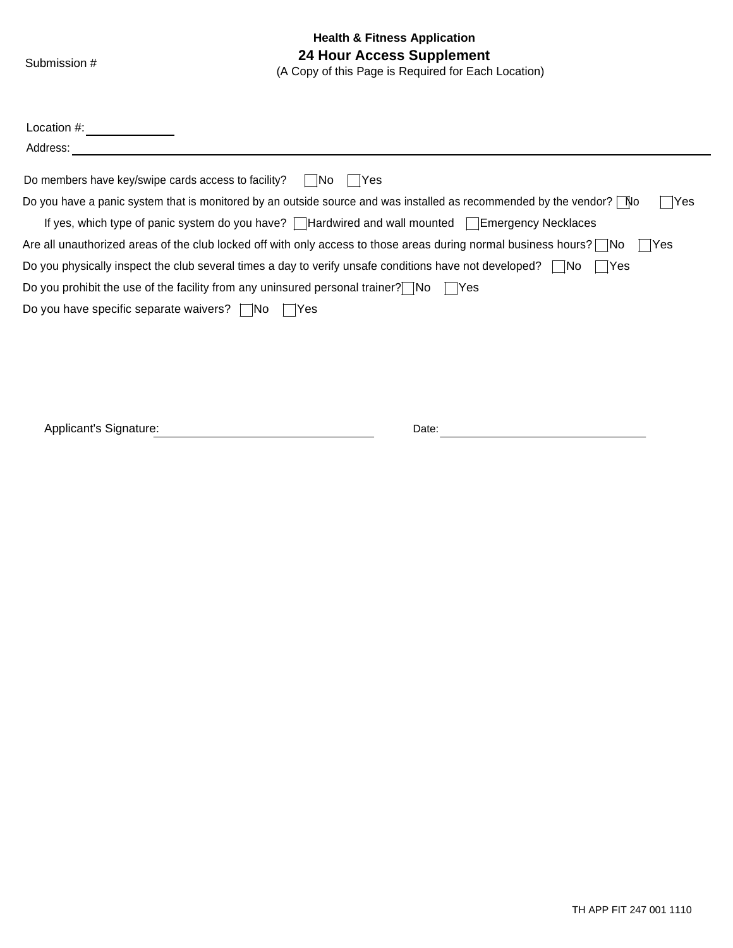**Health & Fitness Application** Submission # **24 Hour Access Supplement** (A Copy of this Page is Required for Each Location)

| Location $#$ :                                                                                                                      |
|-------------------------------------------------------------------------------------------------------------------------------------|
| Address:                                                                                                                            |
| Do members have key/swipe cards access to facility?<br><b>IYes</b><br>l INo                                                         |
| Do you have a panic system that is monitored by an outside source and was installed as recommended by the vendor? $\Box$ No<br>Yes  |
| If yes, which type of panic system do you have? $\Box$ Hardwired and wall mounted $\Box$ Emergency Necklaces                        |
| Are all unauthorized areas of the club locked off with only access to those areas during normal business hours? $\nabla$ No<br>lYes |
| Do you physically inspect the club several times a day to verify unsafe conditions have not developed? $\Box$ No<br>- IYes          |
| Do you prohibit the use of the facility from any uninsured personal trainer? $\nabla$ $N$ o                                         |
| Do you have specific separate waivers? $\Box$ No<br>∣ lYes                                                                          |

Applicant's Signature: Date: Date: Date: Date: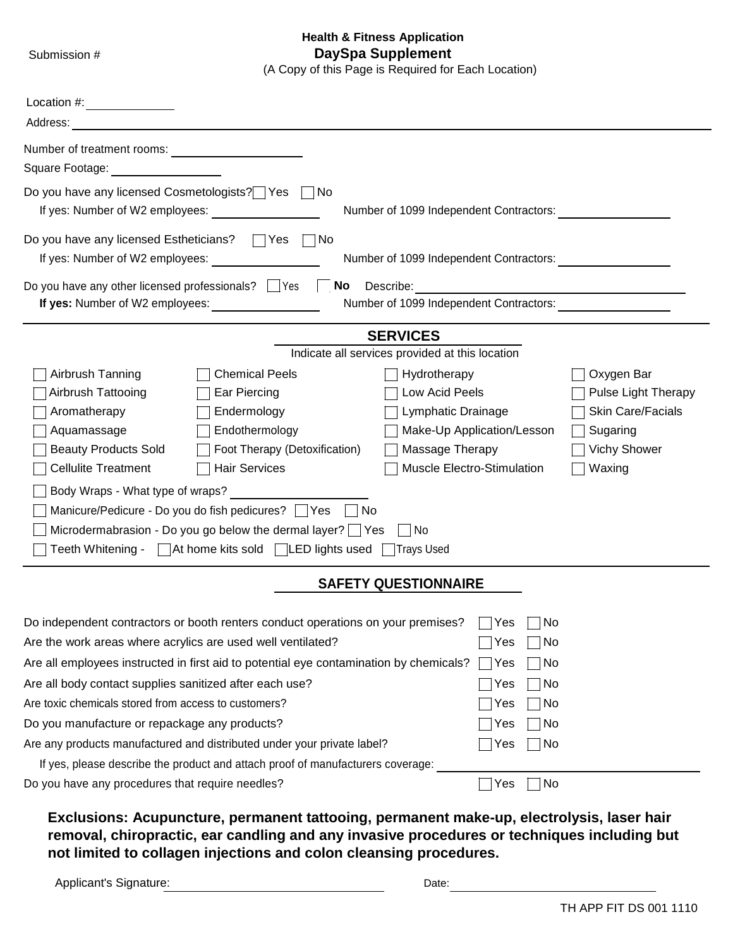#### **Health & Fitness Application** Submission # **DaySpa Supplement**

(A Copy of this Page is Required for Each Location)

| Location #:                                                                                                                                                                                                                                                                                                                                                                                                                                                                                                                                                     |                                                                                                   |                                                                                              |
|-----------------------------------------------------------------------------------------------------------------------------------------------------------------------------------------------------------------------------------------------------------------------------------------------------------------------------------------------------------------------------------------------------------------------------------------------------------------------------------------------------------------------------------------------------------------|---------------------------------------------------------------------------------------------------|----------------------------------------------------------------------------------------------|
| Address:                                                                                                                                                                                                                                                                                                                                                                                                                                                                                                                                                        |                                                                                                   |                                                                                              |
| Number of treatment rooms:                                                                                                                                                                                                                                                                                                                                                                                                                                                                                                                                      |                                                                                                   |                                                                                              |
| Square Footage:                                                                                                                                                                                                                                                                                                                                                                                                                                                                                                                                                 |                                                                                                   |                                                                                              |
| Do you have any licensed Cosmetologists? Yes<br>∣No<br>If yes: Number of W2 employees:                                                                                                                                                                                                                                                                                                                                                                                                                                                                          | Number of 1099 Independent Contractors:                                                           |                                                                                              |
| Do you have any licensed Estheticians?<br><b>No</b><br>∣Yes<br>If yes: Number of W2 employees:                                                                                                                                                                                                                                                                                                                                                                                                                                                                  | Number of 1099 Independent Contractors:                                                           |                                                                                              |
| Do you have any other licensed professionals? Ves<br>No<br>Describe:                                                                                                                                                                                                                                                                                                                                                                                                                                                                                            |                                                                                                   |                                                                                              |
| If yes: Number of W2 employees:                                                                                                                                                                                                                                                                                                                                                                                                                                                                                                                                 | Number of 1099 Independent Contractors:                                                           |                                                                                              |
| <b>SERVICES</b><br>Indicate all services provided at this location                                                                                                                                                                                                                                                                                                                                                                                                                                                                                              |                                                                                                   |                                                                                              |
| <b>Chemical Peels</b><br>Airbrush Tanning<br>Hydrotherapy<br>Airbrush Tattooing<br>Low Acid Peels<br>Ear Piercing<br>Aromatherapy<br>Endermology<br>Aquamassage<br>Endothermology<br><b>Beauty Products Sold</b><br>Foot Therapy (Detoxification)<br><b>Cellulite Treatment</b><br><b>Hair Services</b><br>Body Wraps - What type of wraps?<br>Manicure/Pedicure - Do you do fish pedicures?   Yes   No<br>Microdermabrasion - Do you go below the dermal layer? $\Box$ Yes<br>  No<br>Teeth Whitening - □ At home kits sold □ LED lights used [<br>□Trays Used | Lymphatic Drainage<br>Make-Up Application/Lesson<br>Massage Therapy<br>Muscle Electro-Stimulation | Oxygen Bar<br>Pulse Light Therapy<br>Skin Care/Facials<br>Sugaring<br>Vichy Shower<br>Waxing |
| <b>SAFETY QUESTIONNAIRE</b>                                                                                                                                                                                                                                                                                                                                                                                                                                                                                                                                     |                                                                                                   |                                                                                              |
| Do independent contractors or booth renters conduct operations on your premises?<br>Are the work areas where acrylics are used well ventilated?<br>Are all employees instructed in first aid to potential eye contamination by chemicals?<br>Are all body contact supplies sanitized after each use?<br>Are toxic chemicals stored from access to customers?<br>Do you manufacture or repackage any products?<br>Are any products manufactured and distributed under your private label?                                                                        | Yes<br>No.<br>No<br>Yes<br>Yes<br>No<br>∣No<br>Yes<br>No<br>Yes<br>Yes<br>  No<br>Yes<br>∣No      |                                                                                              |
| If yes, please describe the product and attach proof of manufacturers coverage:                                                                                                                                                                                                                                                                                                                                                                                                                                                                                 |                                                                                                   |                                                                                              |
| Do you have any procedures that require needles?                                                                                                                                                                                                                                                                                                                                                                                                                                                                                                                | No<br>Yes                                                                                         |                                                                                              |

**Exclusions: Acupuncture, permanent tattooing, permanent make-up, electrolysis, laser hair removal, chiropractic, ear candling and any invasive procedures or techniques including but not limited to collagen injections and colon cleansing procedures.**

Applicant's Signature: The Contract of the Date: Date: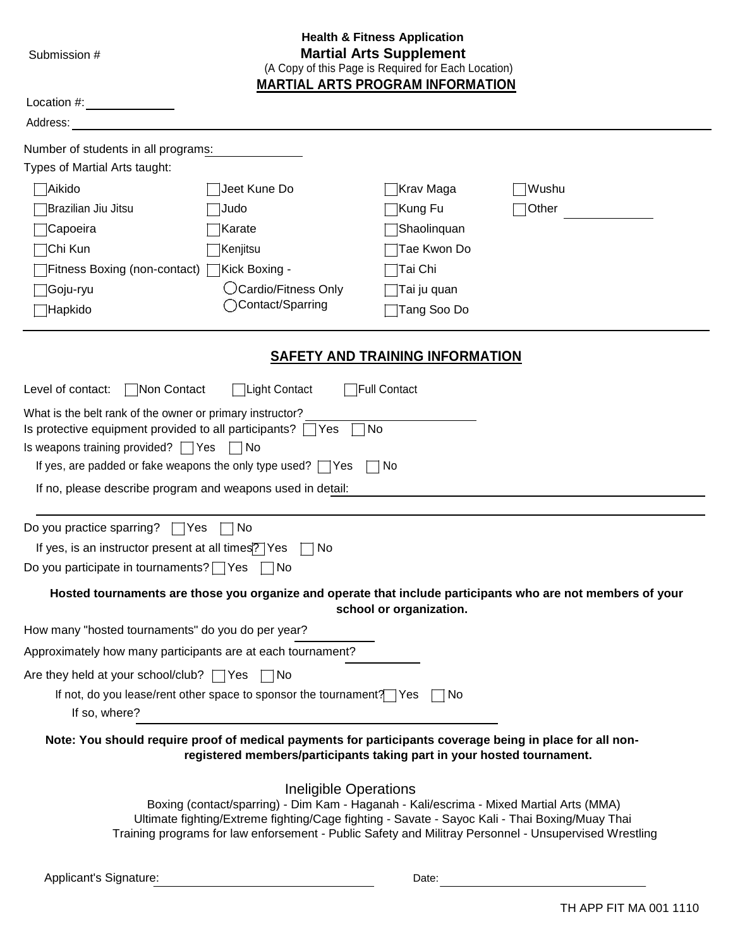|  | Submission # |  |  |
|--|--------------|--|--|
|--|--------------|--|--|

#### **Health & Fitness Application Martial Arts Supplement** (A Copy of this Page is Required for Each Location)

**MARTIAL ARTS PROGRAM INFORMATION**

| Location #:                                                                                           |                                                                                                                                                                                                             |                                        |                                                                                                             |
|-------------------------------------------------------------------------------------------------------|-------------------------------------------------------------------------------------------------------------------------------------------------------------------------------------------------------------|----------------------------------------|-------------------------------------------------------------------------------------------------------------|
| Address:                                                                                              |                                                                                                                                                                                                             |                                        |                                                                                                             |
| Number of students in all programs:                                                                   |                                                                                                                                                                                                             |                                        |                                                                                                             |
| Types of Martial Arts taught:                                                                         |                                                                                                                                                                                                             |                                        |                                                                                                             |
| ∣Aikido                                                                                               | Jeet Kune Do                                                                                                                                                                                                | Krav Maga                              | Wushu                                                                                                       |
| Brazilian Jiu Jitsu                                                                                   | Judo                                                                                                                                                                                                        | Kung Fu                                | Other                                                                                                       |
| ∏Capoeira                                                                                             | Karate                                                                                                                                                                                                      | Shaolinquan                            |                                                                                                             |
| ∣Chi Kun                                                                                              | Kenjitsu                                                                                                                                                                                                    | Tae Kwon Do                            |                                                                                                             |
| Tritness Boxing (non-contact) TKick Boxing -                                                          |                                                                                                                                                                                                             | Tai Chi                                |                                                                                                             |
| ]Goju-ryu                                                                                             | ◯Cardio/Fitness Only<br>◯Contact/Sparring                                                                                                                                                                   | Tai ju quan                            |                                                                                                             |
| ∃Hapkido                                                                                              |                                                                                                                                                                                                             | Tang Soo Do                            |                                                                                                             |
|                                                                                                       |                                                                                                                                                                                                             | <b>SAFETY AND TRAINING INFORMATION</b> |                                                                                                             |
| Non Contact<br>Level of contact:                                                                      | ⊤Light Contact                                                                                                                                                                                              | <b>TFull Contact</b>                   |                                                                                                             |
| What is the belt rank of the owner or primary instructor?<br>Is weapons training provided? $\Box$ Yes | Is protective equipment provided to all participants? $\Box$ Yes<br>l No<br>If yes, are padded or fake weapons the only type used? $\Box$ Yes<br>If no, please describe program and weapons used in detail: | No<br>N0                               |                                                                                                             |
| Do you practice sparring?                                                                             | $\sqsupset$ Yes<br>No.                                                                                                                                                                                      |                                        |                                                                                                             |
| If yes, is an instructor present at all times? Yes                                                    | No.                                                                                                                                                                                                         |                                        |                                                                                                             |
| Do you participate in tournaments? $\Box$ Yes                                                         | No.                                                                                                                                                                                                         |                                        |                                                                                                             |
|                                                                                                       |                                                                                                                                                                                                             | school or organization.                | Hosted tournaments are those you organize and operate that include participants who are not members of your |
| How many "hosted tournaments" do you do per year?                                                     |                                                                                                                                                                                                             |                                        |                                                                                                             |
|                                                                                                       | Approximately how many participants are at each tournament?                                                                                                                                                 |                                        |                                                                                                             |
| Are they held at your school/club? $\Box$ Yes $\Box$ No                                               |                                                                                                                                                                                                             |                                        |                                                                                                             |
| If so, where?                                                                                         | If not, do you lease/rent other space to sponsor the tournament? Yes                                                                                                                                        | □No                                    |                                                                                                             |
|                                                                                                       | Note: You should require proof of medical payments for participants coverage being in place for all non-<br>registered members/participants taking part in your hosted tournament.                          |                                        |                                                                                                             |
|                                                                                                       | Ineligible Operations                                                                                                                                                                                       |                                        |                                                                                                             |

Ineligible Operations Boxing (contact/sparring) - Dim Kam - Haganah - Kali/escrima - Mixed Martial Arts (MMA) Ultimate fighting/Extreme fighting/Cage fighting - Savate - Sayoc Kali - Thai Boxing/Muay Thai Training programs for law enforsement - Public Safety and Militray Personnel - Unsupervised Wrestling

Applicant's Signature: Date: Date: Date: Date: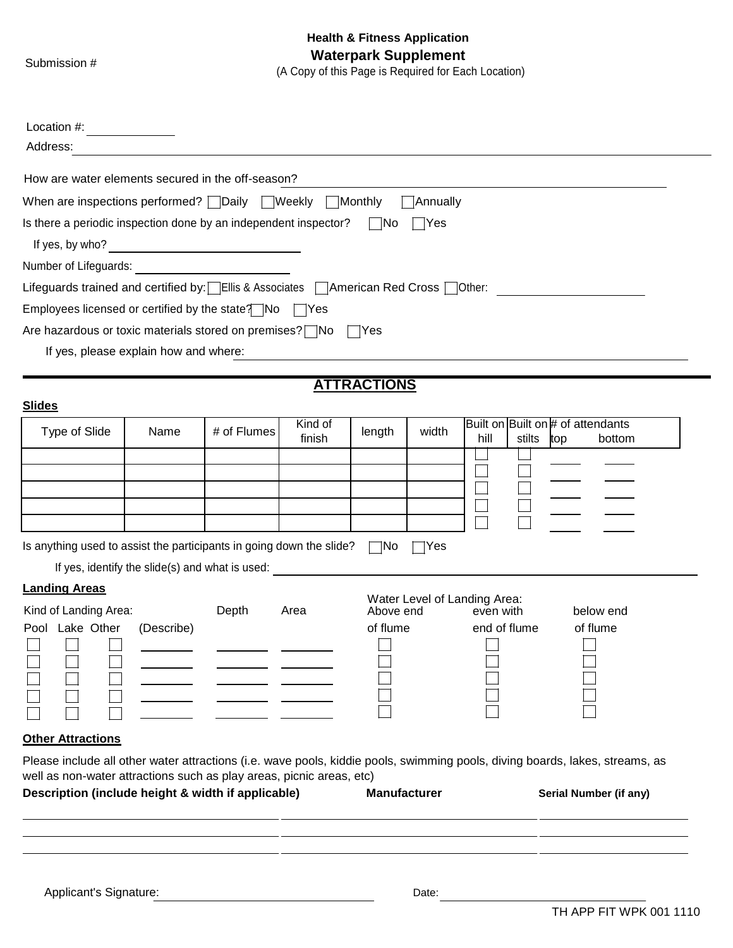| Location #:                                                                                                                |                                                 |             |         |                     |       |                              |                                                                                                                              |
|----------------------------------------------------------------------------------------------------------------------------|-------------------------------------------------|-------------|---------|---------------------|-------|------------------------------|------------------------------------------------------------------------------------------------------------------------------|
| Address:                                                                                                                   |                                                 |             |         |                     |       |                              |                                                                                                                              |
| How are water elements secured in the off-season?                                                                          |                                                 |             |         |                     |       |                              |                                                                                                                              |
| When are inspections performed? Daily Weekly Monthly<br>$\Box$ Annually                                                    |                                                 |             |         |                     |       |                              |                                                                                                                              |
| Is there a periodic inspection done by an independent inspector?<br>$\Box$ No<br>$\exists$ Yes                             |                                                 |             |         |                     |       |                              |                                                                                                                              |
| If yes, by who?                                                                                                            |                                                 |             |         |                     |       |                              |                                                                                                                              |
| Number of Lifeguards:                                                                                                      |                                                 |             |         |                     |       |                              |                                                                                                                              |
| Lifeguards trained and certified by:   Ellis & Associates   American Red Cross   Other:                                    |                                                 |             |         |                     |       |                              |                                                                                                                              |
| Employees licensed or certified by the state? $\Box$ No $\Box$ Yes                                                         |                                                 |             |         |                     |       |                              |                                                                                                                              |
| Are hazardous or toxic materials stored on premises? $\neg$ No                                                             |                                                 |             |         | - Yes               |       |                              |                                                                                                                              |
|                                                                                                                            | If yes, please explain how and where:           |             |         |                     |       |                              |                                                                                                                              |
|                                                                                                                            |                                                 |             |         |                     |       |                              |                                                                                                                              |
| <b>Slides</b>                                                                                                              |                                                 |             |         | <b>ATTRACTIONS</b>  |       |                              |                                                                                                                              |
|                                                                                                                            |                                                 |             | Kind of |                     |       |                              | Built on Built on # of attendants                                                                                            |
| Type of Slide                                                                                                              | Name                                            | # of Flumes | finish  | length              | width | hill<br>stilts               | bottom<br>top                                                                                                                |
|                                                                                                                            |                                                 |             |         |                     |       |                              |                                                                                                                              |
|                                                                                                                            |                                                 |             |         |                     |       |                              |                                                                                                                              |
|                                                                                                                            |                                                 |             |         |                     |       |                              |                                                                                                                              |
|                                                                                                                            |                                                 |             |         |                     |       |                              |                                                                                                                              |
| Is anything used to assist the participants in going down the slide?                                                       |                                                 |             |         | $\Box$ No           | ⊺Yes  |                              |                                                                                                                              |
|                                                                                                                            | If yes, identify the slide(s) and what is used: |             |         |                     |       |                              |                                                                                                                              |
| <b>Landing Areas</b>                                                                                                       |                                                 |             |         |                     |       | Water Level of Landing Area: |                                                                                                                              |
| Kind of Landing Area:                                                                                                      |                                                 | Depth       | Area    | Above end           |       | even with                    | below end                                                                                                                    |
| Pool Lake Other                                                                                                            | (Describe)                                      |             |         | of flume            |       | end of flume                 | of flume                                                                                                                     |
|                                                                                                                            |                                                 |             |         |                     |       |                              |                                                                                                                              |
|                                                                                                                            |                                                 |             |         |                     |       |                              |                                                                                                                              |
|                                                                                                                            |                                                 |             |         |                     |       |                              |                                                                                                                              |
|                                                                                                                            |                                                 |             |         |                     |       |                              |                                                                                                                              |
| <b>Other Attractions</b>                                                                                                   |                                                 |             |         |                     |       |                              |                                                                                                                              |
|                                                                                                                            |                                                 |             |         |                     |       |                              | Please include all other water attractions (i.e. wave pools, kiddie pools, swimming pools, diving boards, lakes, streams, as |
| well as non-water attractions such as play areas, picnic areas, etc)<br>Description (include height & width if applicable) |                                                 |             |         | <b>Manufacturer</b> |       |                              |                                                                                                                              |
|                                                                                                                            |                                                 |             |         |                     |       |                              | Serial Number (if any)                                                                                                       |
|                                                                                                                            |                                                 |             |         |                     |       |                              |                                                                                                                              |
|                                                                                                                            |                                                 |             |         |                     |       |                              |                                                                                                                              |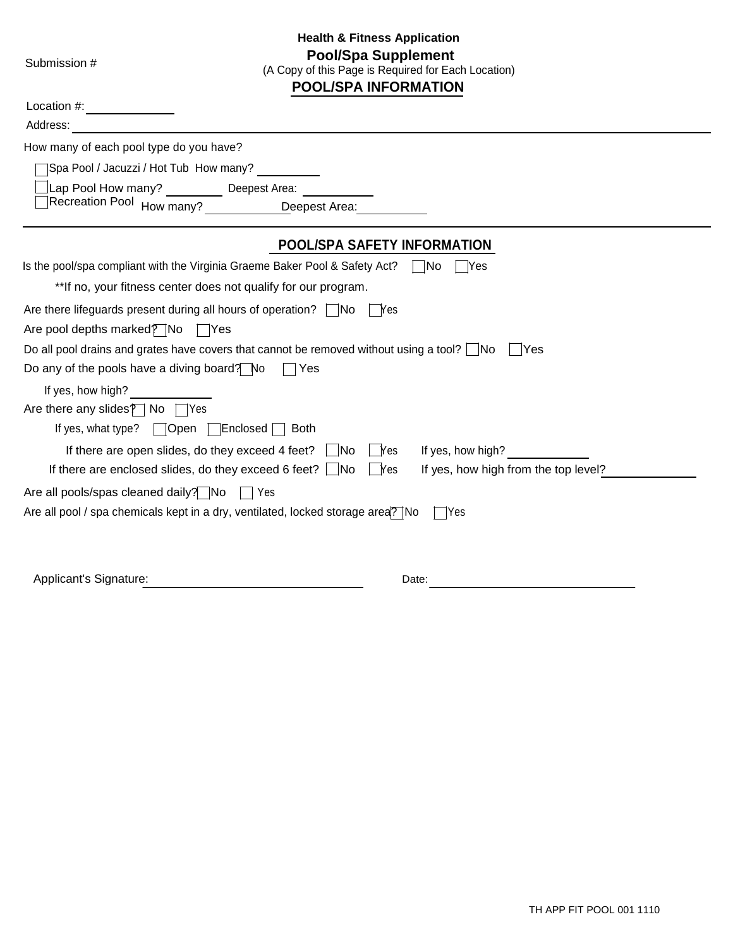| <b>Pool/Spa Supplement</b><br>Submission #<br>(A Copy of this Page is Required for Each Location)<br><b>POOL/SPA INFORMATION</b> |                                                                           |                                      |  |
|----------------------------------------------------------------------------------------------------------------------------------|---------------------------------------------------------------------------|--------------------------------------|--|
|                                                                                                                                  |                                                                           |                                      |  |
| Address:                                                                                                                         |                                                                           |                                      |  |
| How many of each pool type do you have?                                                                                          |                                                                           |                                      |  |
| Spa Pool / Jacuzzi / Hot Tub How many?                                                                                           |                                                                           |                                      |  |
| Lap Pool How many? Deepest Area:                                                                                                 |                                                                           |                                      |  |
|                                                                                                                                  | Recreation Pool How many? <u>____________D</u> eepest Area: ___________   |                                      |  |
|                                                                                                                                  | <b>POOL/SPA SAFETY INFORMATION</b>                                        |                                      |  |
| Is the pool/spa compliant with the Virginia Graeme Baker Pool & Safety Act?                                                      |                                                                           | $\Box$ No<br>- IYes                  |  |
|                                                                                                                                  | **If no, your fitness center does not qualify for our program.            |                                      |  |
| Are there lifeguards present during all hours of operation? $\Box$ No $\Box$ Yes                                                 |                                                                           |                                      |  |
| Are pool depths marked? No TYes                                                                                                  |                                                                           |                                      |  |
| Do all pool drains and grates have covers that cannot be removed without using a tool? $\Box$ No                                 |                                                                           | l lYes                               |  |
| Do any of the pools have a diving board? No                                                                                      | $\sqsupset$ Yes                                                           |                                      |  |
| If yes, how high?                                                                                                                |                                                                           |                                      |  |
| Are there any slides $\sqrt{ }$ No $\sqrt{ }$ Yes                                                                                |                                                                           |                                      |  |
| If yes, what type? $\Box$ Open $\Box$ Enclosed $\Box$ Both                                                                       |                                                                           |                                      |  |
|                                                                                                                                  | If there are open slides, do they exceed 4 feet? $\Box$ No $\Box$ Yes     | If yes, how high?                    |  |
|                                                                                                                                  | If there are enclosed slides, do they exceed 6 feet? $\Box$ No $\Box$ Yes | If yes, how high from the top level? |  |
| Are all pools/spas cleaned daily? No \condity?                                                                                   |                                                                           |                                      |  |
| Are all pool / spa chemicals kept in a dry, ventilated, locked storage area? No                                                  |                                                                           | lYes                                 |  |
|                                                                                                                                  |                                                                           |                                      |  |
| Applicant's Signature:                                                                                                           |                                                                           | Date:                                |  |

**Health & Fitness Application**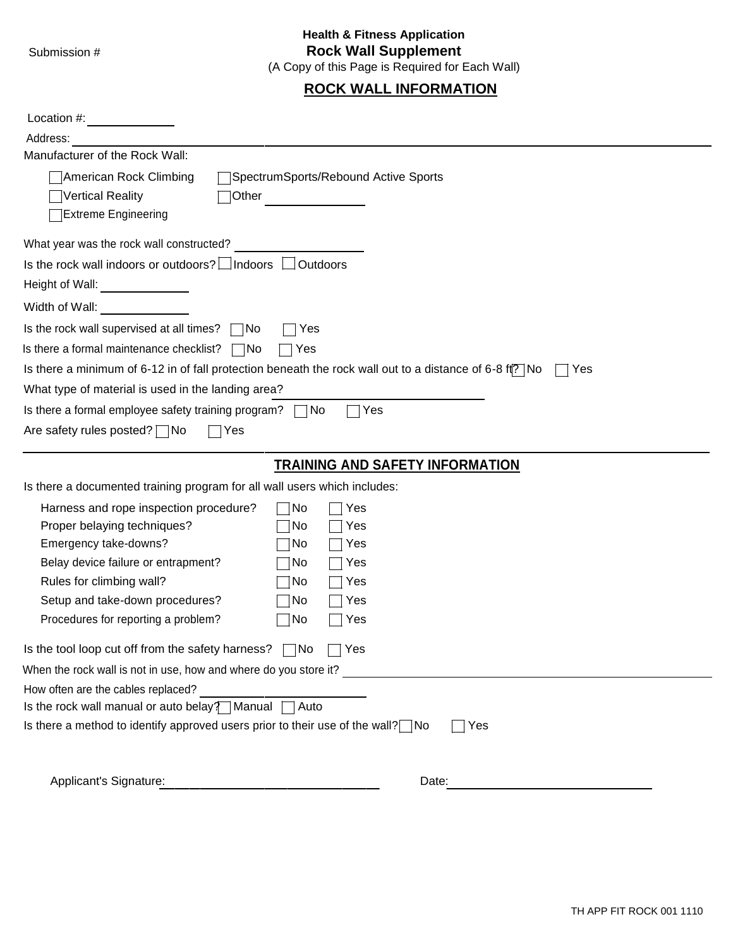# **Health & Fitness Application** Submission # **Rock Wall Supplement**

(A Copy of this Page is Required for Each Wall)

# **ROCK WALL INFORMATION**

| Location #:                                                                                                                                                                                                                                                            |                                                                                                                           |
|------------------------------------------------------------------------------------------------------------------------------------------------------------------------------------------------------------------------------------------------------------------------|---------------------------------------------------------------------------------------------------------------------------|
| Address:<br>Manufacturer of the Rock Wall:                                                                                                                                                                                                                             |                                                                                                                           |
| American Rock Climbing<br>Vertical Reality<br>Other<br><b>Extreme Engineering</b>                                                                                                                                                                                      | SpectrumSports/Rebound Active Sports                                                                                      |
| What year was the rock wall constructed?                                                                                                                                                                                                                               |                                                                                                                           |
| Is the rock wall indoors or outdoors? $\Box$ Indoors<br>Height of Wall:<br>$\overline{\phantom{a}}$ . The contract of $\overline{\phantom{a}}$<br>Width of Wall:                                                                                                       | Outdoors                                                                                                                  |
| Is the rock wall supervised at all times?<br>- INo                                                                                                                                                                                                                     | Yes                                                                                                                       |
| Is there a formal maintenance checklist?<br>□No                                                                                                                                                                                                                        | Yes                                                                                                                       |
|                                                                                                                                                                                                                                                                        | Is there a minimum of 6-12 in of fall protection beneath the rock wall out to a distance of 6-8 ft <sup>7</sup> No<br>Yes |
| What type of material is used in the landing area?                                                                                                                                                                                                                     |                                                                                                                           |
| Is there a formal employee safety training program?                                                                                                                                                                                                                    | Yes<br>∣No                                                                                                                |
| Are safety rules posted? $\Box$ No<br>Yes                                                                                                                                                                                                                              |                                                                                                                           |
|                                                                                                                                                                                                                                                                        |                                                                                                                           |
|                                                                                                                                                                                                                                                                        | <b>TRAINING AND SAFETY INFORMATION</b>                                                                                    |
| Is there a documented training program for all wall users which includes:                                                                                                                                                                                              |                                                                                                                           |
| Harness and rope inspection procedure?<br>Proper belaying techniques?<br>Emergency take-downs?<br>Belay device failure or entrapment?<br>Rules for climbing wall?<br>Setup and take-down procedures?<br>Procedures for reporting a problem?                            | ⊺No<br>Yes<br>No<br>Yes<br>No<br>Yes<br>No<br>Yes<br> No<br>Yes<br>No<br>Yes<br>Yes<br>No                                 |
| Is the tool loop cut off from the safety harness? $\Box$ No                                                                                                                                                                                                            | Yes                                                                                                                       |
| When the rock wall is not in use, how and where do you store it?<br>How often are the cables replaced?<br>Is the rock wall manual or auto belay? $\Box$ Manual $\Box$ Auto<br>Is there a method to identify approved users prior to their use of the wall? $\nabla$ No | Yes                                                                                                                       |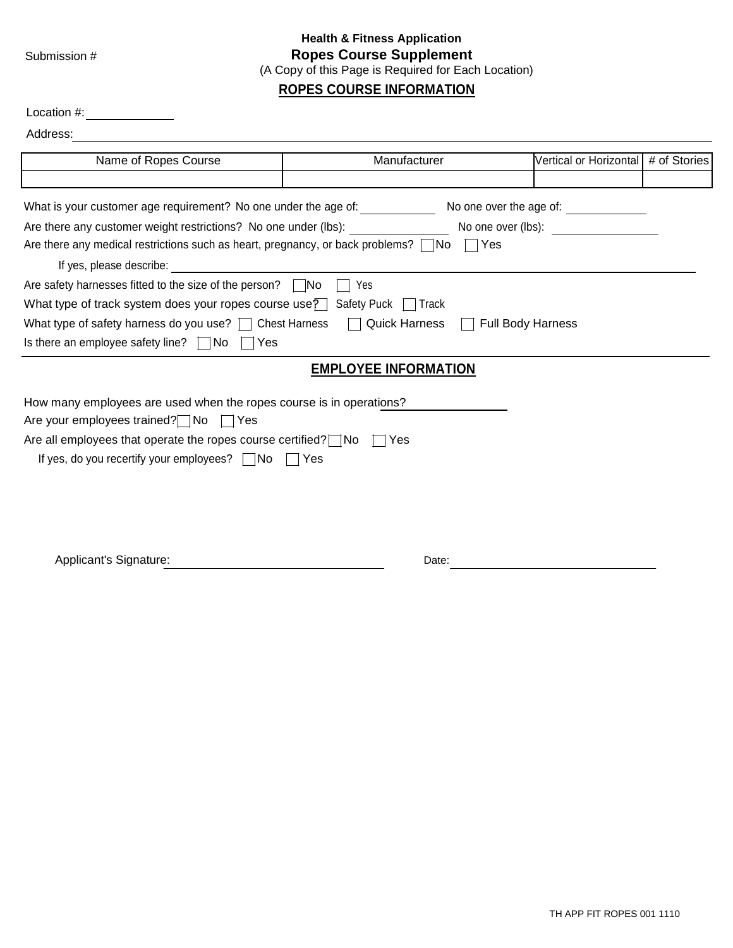## **Health & Fitness Application** Submission # **Ropes Course Supplement** (A Copy of this Page is Required for Each Location) **ROPES COURSE INFORMATION**

| Location #:                                                                                                |                             |            |                                       |  |  |
|------------------------------------------------------------------------------------------------------------|-----------------------------|------------|---------------------------------------|--|--|
| Address:                                                                                                   |                             |            |                                       |  |  |
| Name of Ropes Course                                                                                       | Manufacturer                |            | Vertical or Horizontal # of Stories   |  |  |
|                                                                                                            |                             |            |                                       |  |  |
| What is your customer age requirement? No one under the age of:                                            |                             |            | No one over the age of: _____________ |  |  |
| Are there any customer weight restrictions? No one under (lbs):                                            |                             |            | No one over (lbs): No one over (lbs): |  |  |
| Are there any medical restrictions such as heart, pregnancy, or back problems? $\Box$ No                   |                             | $\Box$ Yes |                                       |  |  |
| If yes, please describe:                                                                                   |                             |            |                                       |  |  |
| Are safety harnesses fitted to the size of the person? $\Box$ No                                           | Yes                         |            |                                       |  |  |
| What type of track system does your ropes course use? Safety Puck [                                        | ⊟ Track                     |            |                                       |  |  |
| What type of safety harness do you use? $\Box$ Chest Harness $\Box$ Quick Harness $\Box$ Full Body Harness |                             |            |                                       |  |  |
| Is there an employee safety line? $\Box$ No $\Box$ Yes                                                     |                             |            |                                       |  |  |
|                                                                                                            | <b>EMPLOYEE INFORMATION</b> |            |                                       |  |  |
| How many employees are used when the ropes course is in operations?                                        |                             |            |                                       |  |  |
| Are your employees trained? $\Box$ No<br>∣Yes                                                              |                             |            |                                       |  |  |
| Are all employees that operate the ropes course certified? $\neg$ No                                       | Yes                         |            |                                       |  |  |
| If yes, do you recertify your employees? $\Box$ No $\Box$ Yes                                              |                             |            |                                       |  |  |
|                                                                                                            |                             |            |                                       |  |  |
|                                                                                                            |                             |            |                                       |  |  |
|                                                                                                            |                             |            |                                       |  |  |

Applicant's Signature: Date: Date: Date: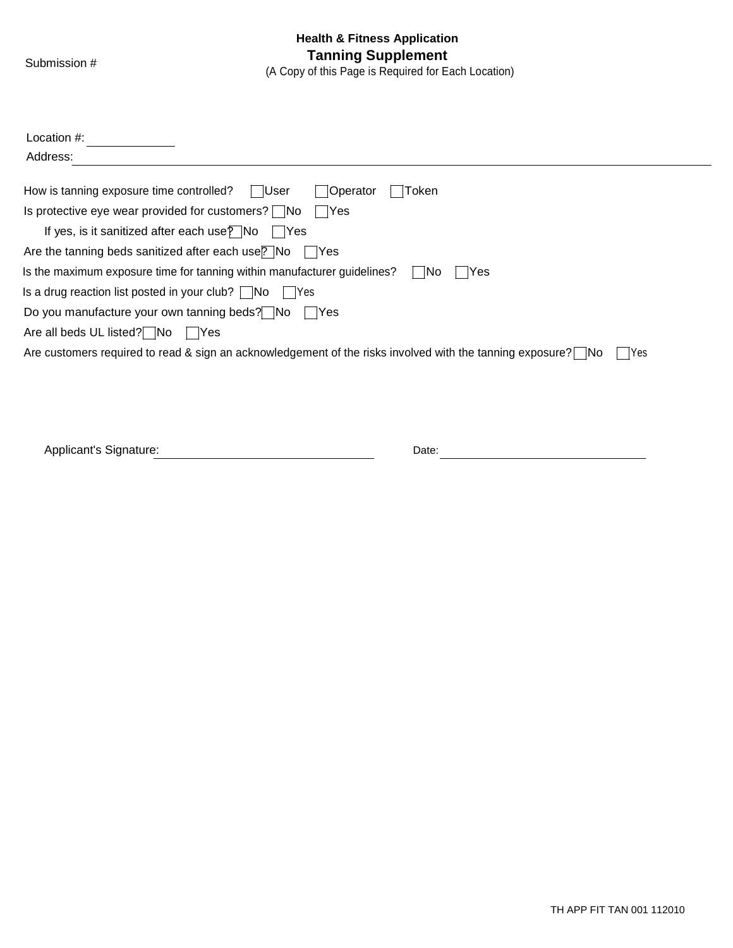| Location $#$ :                                                                                                       |
|----------------------------------------------------------------------------------------------------------------------|
| Address:                                                                                                             |
| How is tanning exposure time controlled?<br><b>Operator</b><br>Token<br>∣ ∣User                                      |
| Is protective eye wear provided for customers? $\Box$ No<br>- IYes                                                   |
| If yes, is it sanitized after each use $\sqrt{P}$ No<br>- IYes                                                       |
| Are the tanning beds sanitized after each use? No<br>- IYes                                                          |
| Is the maximum exposure time for tanning within manufacturer guidelines?<br>- INo<br>Yes                             |
| Is a drug reaction list posted in your club? $\Box$ No<br>l lYes                                                     |
| Do you manufacture your own tanning beds? No<br>- IYes                                                               |
| Are all beds UL listed? No<br>l lYes                                                                                 |
| Are customers required to read & sign an acknowledgement of the risks involved with the tanning exposure? No<br> Yes |
|                                                                                                                      |
|                                                                                                                      |
|                                                                                                                      |
|                                                                                                                      |

| Applicant's Signature:<br>_______ | Jate<br>. |  |
|-----------------------------------|-----------|--|
|                                   |           |  |